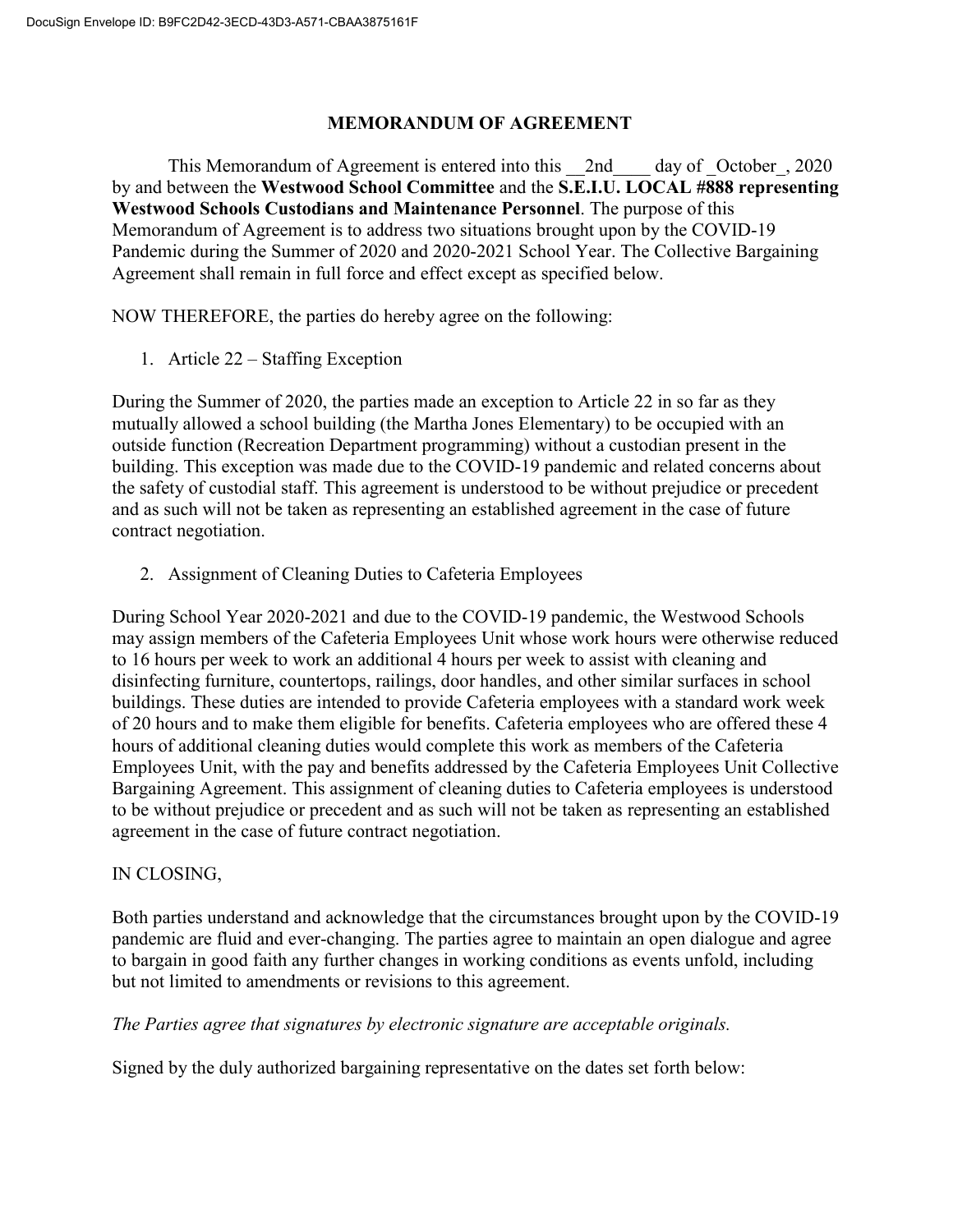## **MEMORANDUM OF AGREEMENT**

This Memorandum of Agreement is entered into this \_\_2nd\_\_\_\_ day of \_October\_, 2020 by and between the **Westwood School Committee** and the **S.E.I.U. LOCAL #888 representing Westwood Schools Custodians and Maintenance Personnel**. The purpose of this Memorandum of Agreement is to address two situations brought upon by the COVID-19 Pandemic during the Summer of 2020 and 2020-2021 School Year. The Collective Bargaining Agreement shall remain in full force and effect except as specified below.

NOW THEREFORE, the parties do hereby agree on the following:

1. Article 22 – Staffing Exception

During the Summer of 2020, the parties made an exception to Article 22 in so far as they mutually allowed a school building (the Martha Jones Elementary) to be occupied with an outside function (Recreation Department programming) without a custodian present in the building. This exception was made due to the COVID-19 pandemic and related concerns about the safety of custodial staff. This agreement is understood to be without prejudice or precedent and as such will not be taken as representing an established agreement in the case of future contract negotiation.

2. Assignment of Cleaning Duties to Cafeteria Employees

During School Year 2020-2021 and due to the COVID-19 pandemic, the Westwood Schools may assign members of the Cafeteria Employees Unit whose work hours were otherwise reduced to 16 hours per week to work an additional 4 hours per week to assist with cleaning and disinfecting furniture, countertops, railings, door handles, and other similar surfaces in school buildings. These duties are intended to provide Cafeteria employees with a standard work week of 20 hours and to make them eligible for benefits. Cafeteria employees who are offered these 4 hours of additional cleaning duties would complete this work as members of the Cafeteria Employees Unit, with the pay and benefits addressed by the Cafeteria Employees Unit Collective Bargaining Agreement. This assignment of cleaning duties to Cafeteria employees is understood to be without prejudice or precedent and as such will not be taken as representing an established agreement in the case of future contract negotiation.

## IN CLOSING,

Both parties understand and acknowledge that the circumstances brought upon by the COVID-19 pandemic are fluid and ever-changing. The parties agree to maintain an open dialogue and agree to bargain in good faith any further changes in working conditions as events unfold, including but not limited to amendments or revisions to this agreement.

## *The Parties agree that signatures by electronic signature are acceptable originals.*

Signed by the duly authorized bargaining representative on the dates set forth below: